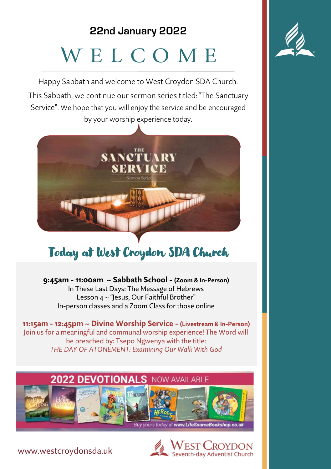# **22nd January 2022** W E L C O M E

Happy Sabbath and welcome to West Croydon SDA Church. This Sabbath, we continue our sermon series titled: "The Sanctuary Service". We hope that you will enjoy the service and be encouraged by your worship experience today.



# Today at West Croydon SDA Church

**9:45am - 11:00am ~ Sabbath School - (Zoom & In-Person)** In These Last Days: The Message of Hebrews Lesson 4 ~ "Jesus, Our Faithful Brother" In-person classes and a Zoom Class for those online

**11:15am - 12:45pm ~ Divine Worship Service - (Livestream & In-Person)** Join us for a meaningful and communal worship experience! The Word will be preached by: Tsepo Ngwenya with the title: *THE DAY OF ATONEMENT: Examining Our Walk With God*





www.westcroydonsda.uk

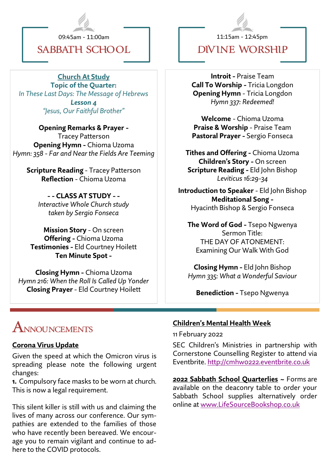

09:45am - 11:00am

## **SABBATH SCHOOL**

**Church At Study**

**Topic of the Quarter:**  *In These Last Days: The Message of Hebrews Lesson 4 "Jesus, Our Faithful Brother"* 

**Opening Remarks & Prayer -** Tracey Patterson **Opening Hymn -** Chioma Uzoma *Hymn: 358 - Far and Near the Fields Are Teeming*

**Scripture Reading** - Tracey Patterson **Reflection** - Chioma Uzoma

**- - CLASS AT STUDY - -** *Interactive Whole Church study taken by Sergio Fonseca*

**Mission Story** - On screen **Offering -** Chioma Uzoma **Testimonies -** Eld Courtney Hoilett **Ten Minute Spot -**

**Closing Hymn -** Chioma Uzoma *Hymn 216: When the Roll Is Called Up Yonder* **Closing Prayer** - Eld Courtney Hoilett

11:15am - 12:45pm

**Divine WORSHIP**

**Introit -** Praise Team **Call To Worship -** Tricia Longdon **Opening Hymn** - Tricia Longdon *Hymn 337: Redeemed!*

**Welcome** - Chioma Uzoma **Praise & Worship** - Praise Team **Pastoral Prayer -** Sergio Fonseca

**Tithes and Offering -** Chioma Uzoma **Children's Story -** On screen **Scripture Reading -** Eld John Bishop *Leviticus 16:29-34*

**Introduction to Speaker** - Eld John Bishop **Meditational Song -** Hyacinth Bishop & Sergio Fonseca

**The Word of God -** Tsepo Ngwenya Sermon Title: THE DAY OF ATONEMENT: Examining Our Walk With God

**Closing Hymn -** Eld John Bishop *Hymn 335: What a Wonderful Saviour*

**Benediction -** Tsepo Ngwenya

# **Announcements**

### **Corona Virus Update**

Given the speed at which the Omicron virus is spreading please note the following urgent changes:

**1.** Compulsory face masks to be worn at church. This is now a legal requirement.

This silent killer is still with us and claiming the lives of many across our conference. Our sympathies are extended to the families of those who have recently been bereaved. We encourage you to remain vigilant and continue to adhere to the COVID protocols.

### **Children's Mental Health Week**

11 February 2022

SEC Children's Ministries in partnership with Cornerstone Counselling Register to attend via Eventbrite.<http://cmhw0222.eventbrite.co.uk>

**2022 Sabbath School Quarterlies ~** Forms are available on the deaconry table to order your Sabbath School supplies alternatively order online at [www.LifeSourceBookshop.co.uk](http://www.LifeSourceBookshop.co.uk)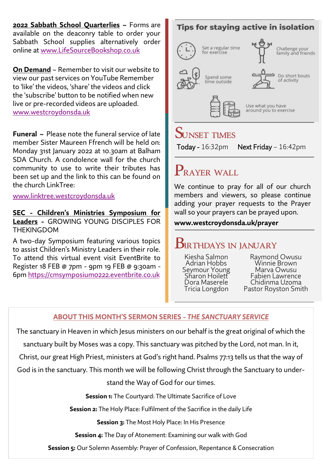**2022 Sabbath School Quarterlies ~** Forms are available on the deaconry table to order your Sabbath School supplies alternatively order online at [www.LifeSourceBookshop.co.uk](http://www.LifeSourceBookshop.co.uk)

**On Demand** ~ Remember to visit our website to view our past services on YouTube Remember to 'like' the videos, 'share' the videos and click the 'subscribe' button to be notified when new live or pre-recorded videos are uploaded. [www.westcroydonsda.uk](https://www.westcroydonsda.uk/)

**Funeral ~** Please note the funeral service of late member Sister Maureen Ffrench will be held on: Monday 31st January 2022 at 10.30am at Balham SDA Church. A condolence wall for the church community to use to write their tributes has been set up and the link to this can be found on the church LinkTree:

### [www.linktree.westcroydonsda.uk](http://www.linktree.westcroydonsda.uk)

**SEC - Children's Ministries Symposium for Leaders -** GROWING YOUNG DISCIPLES FOR **THEKINGDOM** 

A two-day Symposium featuring various topics to assist Children's Ministry Leaders in their role. To attend this virtual event visit EventBrite to Register 18 FEB @ 7pm - 9pm 19 FEB @ 9:30am - 6pm <https://cmsymposium0222.eventbrite.co.uk>

# **Tips for staving active in isolation** Set a regular time Challenge your<br>family and friends for exercise Do short bouts Spand some of activity time outside Use what you have around you to exercise **Sunset Times** Today - 16:32pm Next Friday – 16:42pm **Prayer WALL**

We continue to pray for all of our church members and viewers, so please continue adding your prayer requests to the Prayer wall so your prayers can be prayed upon.

### **www.westcroydonsda.uk/prayer**

# **Birthdays in January**

Kiesha Salmon Adrian Hobbs Seymour Young Sharon Hoilett Dora Maserele Tricia Longdon

Raymond Owusu Winnie Brown Marva Owusu Fabien Lawrence Chidinma Uzoma Pastor Royston Smith

### **ABOUT THIS MONTH'S SERMON SERIES -** *THE SANCTUARY SERVICE*

The sanctuary in Heaven in which Jesus ministers on our behalf is the great original of which the

sanctuary built by Moses was a copy. This sanctuary was pitched by the Lord, not man. In it,

Christ, our great High Priest, ministers at God's right hand. Psalms 77:13 tells us that the way of

God is in the sanctuary. This month we will be following Christ through the Sanctuary to under-

stand the Way of God for our times.

**Session 1:** The Courtyard: The Ultimate Sacrifice of Love

**Session 2:** The Holy Place: Fulfilment of the Sacrifice in the daily Life

**Session 3:** The Most Holy Place: In His Presence

**Session 4:** The Day of Atonement: Examining our walk with God

**Session 5:** Our Solemn Assembly: Prayer of Confession, Repentance & Consecration